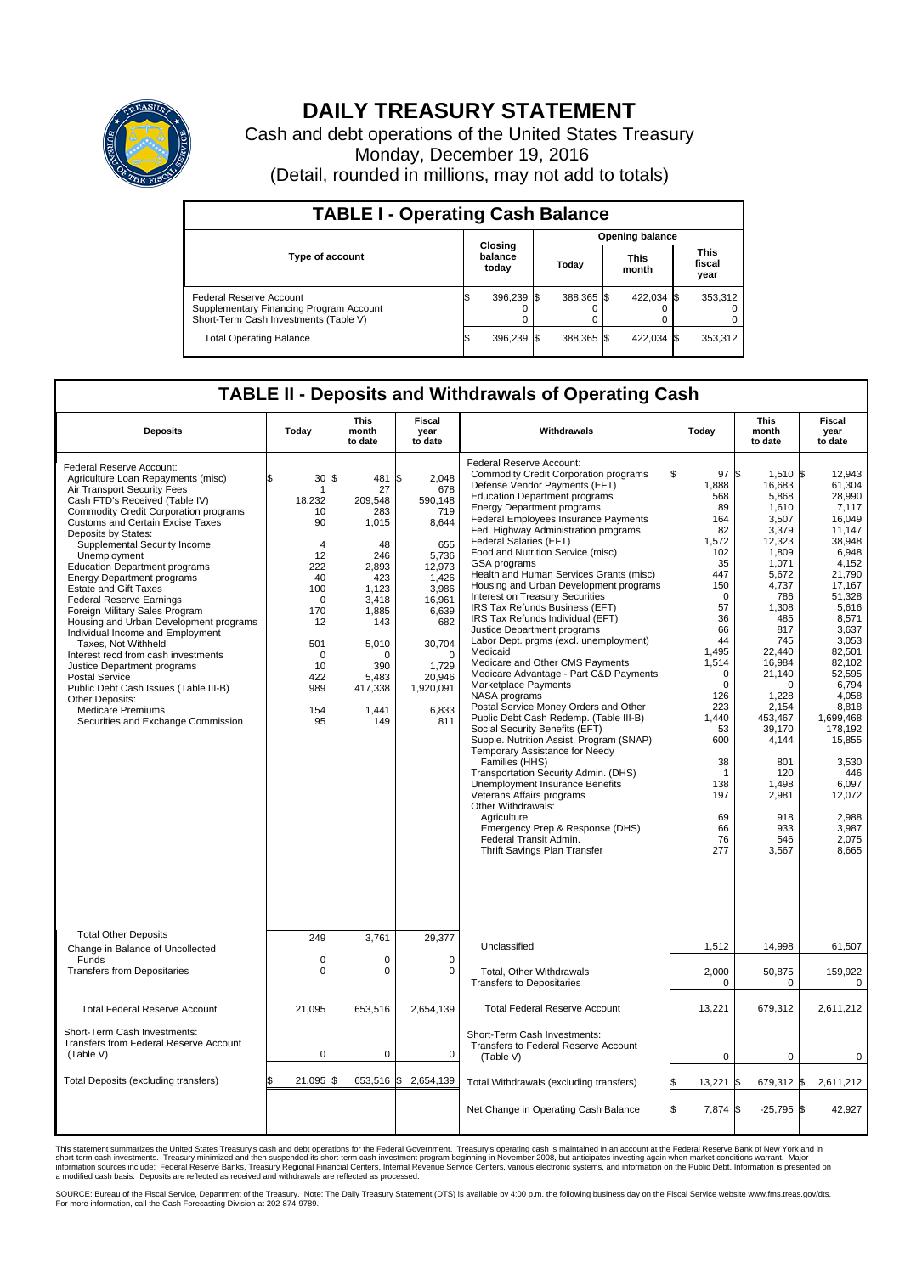

## **DAILY TREASURY STATEMENT**

Cash and debt operations of the United States Treasury Monday, December 19, 2016 (Detail, rounded in millions, may not add to totals)

| <b>TABLE I - Operating Cash Balance</b>                                                                     |    |                                    |  |                        |  |                      |  |                               |  |
|-------------------------------------------------------------------------------------------------------------|----|------------------------------------|--|------------------------|--|----------------------|--|-------------------------------|--|
|                                                                                                             |    | <b>Closing</b><br>balance<br>today |  | <b>Opening balance</b> |  |                      |  |                               |  |
| Type of account                                                                                             |    |                                    |  | Today                  |  | <b>This</b><br>month |  | <b>This</b><br>fiscal<br>year |  |
| Federal Reserve Account<br>Supplementary Financing Program Account<br>Short-Term Cash Investments (Table V) |    | 396,239                            |  | 388,365 \$             |  | 422.034 \$           |  | 353,312                       |  |
| <b>Total Operating Balance</b>                                                                              | IЭ | 396,239 \$                         |  | 388,365 \$             |  | 422,034 \$           |  | 353,312                       |  |

## **TABLE II - Deposits and Withdrawals of Operating Cash**

| <b>Deposits</b>                                                                                                                                                                                                                                                                                                                                                                                                                                                                                                                                                                                                                                                                                                                                                                                                       | Today                                                                                                                                                              | <b>This</b><br>month<br>to date                                                                                                                                     | <b>Fiscal</b><br>year<br>to date                                                                                                                                                             | Withdrawals                                                                                                                                                                                                                                                                                                                                                                                                                                                                                                                                                                                                                                                                                                                                                                                                                                                                                                                                                                                                                                                                                                                                                                                                                                 | Today                                                                                                                                                                                                                                      | <b>This</b><br>month<br>to date                                                                                                                                                                                                                                                                     | <b>Fiscal</b><br>year<br>to date                                                                                                                                                                                                                                                                                        |
|-----------------------------------------------------------------------------------------------------------------------------------------------------------------------------------------------------------------------------------------------------------------------------------------------------------------------------------------------------------------------------------------------------------------------------------------------------------------------------------------------------------------------------------------------------------------------------------------------------------------------------------------------------------------------------------------------------------------------------------------------------------------------------------------------------------------------|--------------------------------------------------------------------------------------------------------------------------------------------------------------------|---------------------------------------------------------------------------------------------------------------------------------------------------------------------|----------------------------------------------------------------------------------------------------------------------------------------------------------------------------------------------|---------------------------------------------------------------------------------------------------------------------------------------------------------------------------------------------------------------------------------------------------------------------------------------------------------------------------------------------------------------------------------------------------------------------------------------------------------------------------------------------------------------------------------------------------------------------------------------------------------------------------------------------------------------------------------------------------------------------------------------------------------------------------------------------------------------------------------------------------------------------------------------------------------------------------------------------------------------------------------------------------------------------------------------------------------------------------------------------------------------------------------------------------------------------------------------------------------------------------------------------|--------------------------------------------------------------------------------------------------------------------------------------------------------------------------------------------------------------------------------------------|-----------------------------------------------------------------------------------------------------------------------------------------------------------------------------------------------------------------------------------------------------------------------------------------------------|-------------------------------------------------------------------------------------------------------------------------------------------------------------------------------------------------------------------------------------------------------------------------------------------------------------------------|
| Federal Reserve Account:<br>Agriculture Loan Repayments (misc)<br>Air Transport Security Fees<br>Cash FTD's Received (Table IV)<br><b>Commodity Credit Corporation programs</b><br><b>Customs and Certain Excise Taxes</b><br>Deposits by States:<br>Supplemental Security Income<br>Unemployment<br><b>Education Department programs</b><br><b>Energy Department programs</b><br><b>Estate and Gift Taxes</b><br><b>Federal Reserve Earnings</b><br>Foreign Military Sales Program<br>Housing and Urban Development programs<br>Individual Income and Employment<br>Taxes, Not Withheld<br>Interest recd from cash investments<br>Justice Department programs<br><b>Postal Service</b><br>Public Debt Cash Issues (Table III-B)<br>Other Deposits:<br><b>Medicare Premiums</b><br>Securities and Exchange Commission | 30<br>\$<br>1<br>18,232<br>10<br>90<br>$\overline{4}$<br>12<br>222<br>40<br>100<br>$\mathbf 0$<br>170<br>12<br>501<br>$\mathbf 0$<br>10<br>422<br>989<br>154<br>95 | l\$<br>481<br>27<br>209,548<br>283<br>1,015<br>48<br>246<br>2.893<br>423<br>1,123<br>3.418<br>1,885<br>143<br>5,010<br>O<br>390<br>5,483<br>417,338<br>1,441<br>149 | 2,048<br>\$<br>678<br>590,148<br>719<br>8,644<br>655<br>5,736<br>12,973<br>1,426<br>3,986<br>16.961<br>6,639<br>682<br>30,704<br>$\mathbf 0$<br>1.729<br>20,946<br>1,920,091<br>6,833<br>811 | Federal Reserve Account:<br><b>Commodity Credit Corporation programs</b><br>Defense Vendor Payments (EFT)<br><b>Education Department programs</b><br><b>Energy Department programs</b><br>Federal Employees Insurance Payments<br>Fed. Highway Administration programs<br>Federal Salaries (EFT)<br>Food and Nutrition Service (misc)<br><b>GSA</b> programs<br>Health and Human Services Grants (misc)<br>Housing and Urban Development programs<br>Interest on Treasury Securities<br>IRS Tax Refunds Business (EFT)<br>IRS Tax Refunds Individual (EFT)<br>Justice Department programs<br>Labor Dept. prgms (excl. unemployment)<br>Medicaid<br>Medicare and Other CMS Payments<br>Medicare Advantage - Part C&D Payments<br>Marketplace Payments<br>NASA programs<br>Postal Service Money Orders and Other<br>Public Debt Cash Redemp. (Table III-B)<br>Social Security Benefits (EFT)<br>Supple. Nutrition Assist. Program (SNAP)<br>Temporary Assistance for Needy<br>Families (HHS)<br>Transportation Security Admin. (DHS)<br>Unemployment Insurance Benefits<br>Veterans Affairs programs<br>Other Withdrawals:<br>Agriculture<br>Emergency Prep & Response (DHS)<br>Federal Transit Admin.<br><b>Thrift Savings Plan Transfer</b> | 97S<br>1,888<br>568<br>89<br>164<br>82<br>1,572<br>102<br>35<br>447<br>150<br>$\mathbf 0$<br>57<br>36<br>66<br>44<br>1,495<br>1,514<br>$\Omega$<br>0<br>126<br>223<br>1,440<br>53<br>600<br>38<br>1<br>138<br>197<br>69<br>66<br>76<br>277 | $1,510$ \$<br>16,683<br>5,868<br>1,610<br>3,507<br>3,379<br>12,323<br>1,809<br>1,071<br>5.672<br>4,737<br>786<br>1,308<br>485<br>817<br>745<br>22,440<br>16,984<br>21,140<br>$\Omega$<br>1,228<br>2,154<br>453,467<br>39,170<br>4,144<br>801<br>120<br>1.498<br>2,981<br>918<br>933<br>546<br>3,567 | 12.943<br>61,304<br>28,990<br>7.117<br>16,049<br>11.147<br>38.948<br>6,948<br>4,152<br>21.790<br>17,167<br>51,328<br>5.616<br>8,571<br>3,637<br>3,053<br>82,501<br>82,102<br>52.595<br>6,794<br>4.058<br>8,818<br>1.699.468<br>178,192<br>15,855<br>3,530<br>446<br>6.097<br>12,072<br>2.988<br>3,987<br>2,075<br>8.665 |
| <b>Total Other Deposits</b><br>Change in Balance of Uncollected                                                                                                                                                                                                                                                                                                                                                                                                                                                                                                                                                                                                                                                                                                                                                       | 249                                                                                                                                                                | 3,761                                                                                                                                                               | 29,377                                                                                                                                                                                       | Unclassified                                                                                                                                                                                                                                                                                                                                                                                                                                                                                                                                                                                                                                                                                                                                                                                                                                                                                                                                                                                                                                                                                                                                                                                                                                | 1,512                                                                                                                                                                                                                                      | 14,998                                                                                                                                                                                                                                                                                              | 61,507                                                                                                                                                                                                                                                                                                                  |
| Funds<br><b>Transfers from Depositaries</b>                                                                                                                                                                                                                                                                                                                                                                                                                                                                                                                                                                                                                                                                                                                                                                           | $\mathbf 0$<br>$\mathbf 0$                                                                                                                                         | 0<br>0                                                                                                                                                              | $\mathbf 0$<br>0                                                                                                                                                                             | <b>Total, Other Withdrawals</b><br><b>Transfers to Depositaries</b>                                                                                                                                                                                                                                                                                                                                                                                                                                                                                                                                                                                                                                                                                                                                                                                                                                                                                                                                                                                                                                                                                                                                                                         | 2,000<br>$\mathbf 0$                                                                                                                                                                                                                       | 50,875<br>$\mathbf 0$                                                                                                                                                                                                                                                                               | 159,922<br>0                                                                                                                                                                                                                                                                                                            |
| <b>Total Federal Reserve Account</b>                                                                                                                                                                                                                                                                                                                                                                                                                                                                                                                                                                                                                                                                                                                                                                                  | 21,095                                                                                                                                                             | 653,516                                                                                                                                                             | 2,654,139                                                                                                                                                                                    | <b>Total Federal Reserve Account</b>                                                                                                                                                                                                                                                                                                                                                                                                                                                                                                                                                                                                                                                                                                                                                                                                                                                                                                                                                                                                                                                                                                                                                                                                        | 13,221                                                                                                                                                                                                                                     | 679,312                                                                                                                                                                                                                                                                                             | 2,611,212                                                                                                                                                                                                                                                                                                               |
| Short-Term Cash Investments:<br><b>Transfers from Federal Reserve Account</b><br>(Table V)                                                                                                                                                                                                                                                                                                                                                                                                                                                                                                                                                                                                                                                                                                                            | $\pmb{0}$                                                                                                                                                          | 0                                                                                                                                                                   | 0                                                                                                                                                                                            | Short-Term Cash Investments:<br>Transfers to Federal Reserve Account<br>(Table V)                                                                                                                                                                                                                                                                                                                                                                                                                                                                                                                                                                                                                                                                                                                                                                                                                                                                                                                                                                                                                                                                                                                                                           | 0                                                                                                                                                                                                                                          | $\mathbf 0$                                                                                                                                                                                                                                                                                         | 0                                                                                                                                                                                                                                                                                                                       |
| Total Deposits (excluding transfers)                                                                                                                                                                                                                                                                                                                                                                                                                                                                                                                                                                                                                                                                                                                                                                                  | 21,095                                                                                                                                                             | 653,516                                                                                                                                                             | \$<br>2,654,139                                                                                                                                                                              | Total Withdrawals (excluding transfers)                                                                                                                                                                                                                                                                                                                                                                                                                                                                                                                                                                                                                                                                                                                                                                                                                                                                                                                                                                                                                                                                                                                                                                                                     | 13,221                                                                                                                                                                                                                                     | 679,312 \$<br><b>S</b>                                                                                                                                                                                                                                                                              | 2,611,212                                                                                                                                                                                                                                                                                                               |
|                                                                                                                                                                                                                                                                                                                                                                                                                                                                                                                                                                                                                                                                                                                                                                                                                       |                                                                                                                                                                    |                                                                                                                                                                     |                                                                                                                                                                                              | Net Change in Operating Cash Balance                                                                                                                                                                                                                                                                                                                                                                                                                                                                                                                                                                                                                                                                                                                                                                                                                                                                                                                                                                                                                                                                                                                                                                                                        | Ŝ.<br>7,874 \$                                                                                                                                                                                                                             | $-25,795$ \$                                                                                                                                                                                                                                                                                        | 42,927                                                                                                                                                                                                                                                                                                                  |

This statement summarizes the United States Treasury's cash and debt operations for the Federal Government. Treasury's operating cash is maintained in an account at the Federal Reserve Bank of New York and in<br>short-term ca

SOURCE: Bureau of the Fiscal Service, Department of the Treasury. Note: The Daily Treasury Statement (DTS) is available by 4:00 p.m. the following business day on the Fiscal Service website www.fms.treas.gov/dts.<br>For more